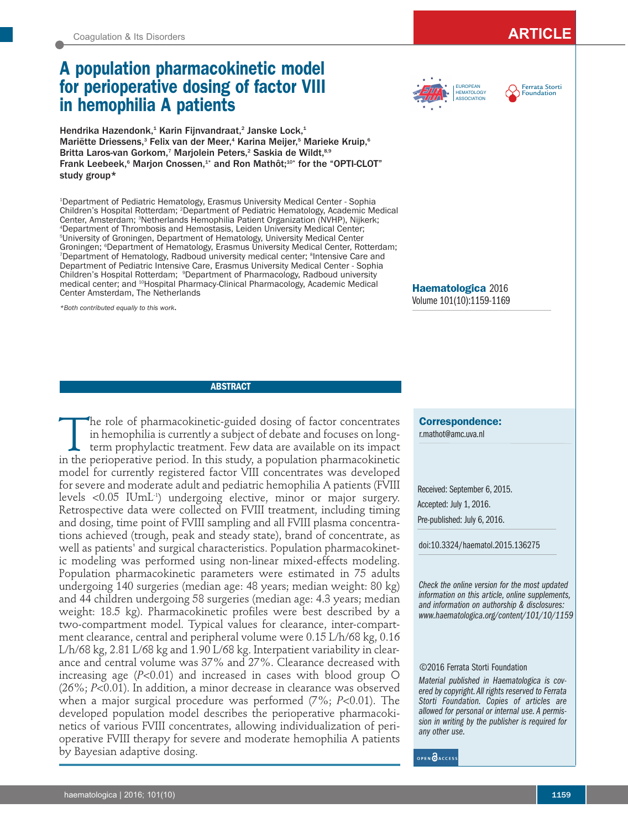# **A population pharmacokinetic model for perioperative dosing of factor VIII in hemophilia A patients**

Hendrika Hazendonk,<sup>1</sup> Karin Fijnvandraat,<sup>2</sup> Janske Lock,<sup>1</sup> Mariëtte Driessens,<sup>3</sup> Felix van der Meer,<sup>4</sup> Karina Meijer,<sup>5</sup> Marieke Kruip,<sup>6</sup> Britta Laros-van Gorkom,<sup>7</sup> Marjolein Peters,<sup>2</sup> Saskia de Wildt,<sup>8,9</sup> Frank Leebeek,<sup>6</sup> Marjon Cnossen,<sup>1\*</sup> and Ron Mathôt;<sup>10\*</sup> for the "OPTI-CLOT" study group\*

1 Department of Pediatric Hematology, Erasmus University Medical Center - Sophia Children's Hospital Rotterdam; 2 Department of Pediatric Hematology, Academic Medical Center, Amsterdam; <sup>3</sup>Netherlands Hemophilia Patient Organization (NVHP), Nijkerk; 4 Department of Thrombosis and Hemostasis, Leiden University Medical Center; 5 University of Groningen, Department of Hematology, University Medical Center Groningen; 6 Department of Hematology, Erasmus University Medical Center, Rotterdam; <sup>7</sup>Department of Hematology, Radboud university medical center; <sup>8</sup>Intensive Care and Department of Pediatric Intensive Care, Erasmus University Medical Center - Sophia Children's Hospital Rotterdam; <sup>9</sup>Department of Pharmacology, Radboud university medical center; and <sup>10</sup>Hospital Pharmacy-Clinical Pharmacology, Academic Medical Center Amsterdam, The Netherlands

*\*Both contributed equally to this work*.

HEMATOLOGY **ASSOCIATION** 

Ferrata Storti EUROPEAN **Primary Primary** Ferrata Sto

**Haematologica** 2016 Volume 101(10):1159-1169

**ABSTRACT**

The role of pharmacokinetic-guided dosing of factor concentrates<br>in hemophilia is currently a subject of debate and focuses on long-<br>term prophylactic treatment. Few data are available on its impact<br>in the perioperative pe in hemophilia is currently a subject of debate and focuses on longterm prophylactic treatment. Few data are available on its impact in the perioperative period. In this study, a population pharmacokinetic model for currently registered factor VIII concentrates was developed for severe and moderate adult and pediatric hemophilia A patients (FVIII levels <0.05 IUmL<sup>1</sup>) undergoing elective, minor or major surgery. Retrospective data were collected on FVIII treatment, including timing and dosing, time point of FVIII sampling and all FVIII plasma concentrations achieved (trough, peak and steady state), brand of concentrate, as well as patients' and surgical characteristics. Population pharmacokinetic modeling was performed using non-linear mixed-effects modeling. Population pharmacokinetic parameters were estimated in 75 adults undergoing 140 surgeries (median age: 48 years; median weight: 80 kg) and 44 children undergoing 58 surgeries (median age: 4.3 years; median weight: 18.5 kg). Pharmacokinetic profiles were best described by a two-compartment model. Typical values for clearance, inter-compartment clearance, central and peripheral volume were 0.15 L/h/68 kg, 0.16 L/h/68 kg, 2.81 L/68 kg and 1.90 L/68 kg. Interpatient variability in clearance and central volume was 37% and 27%. Clearance decreased with increasing age (*P*<0.01) and increased in cases with blood group O (26%; *P*<0.01). In addition, a minor decrease in clearance was observed when a major surgical procedure was performed (7%; *P*<0.01). The developed population model describes the perioperative pharmacokinetics of various FVIII concentrates, allowing individualization of perioperative FVIII therapy for severe and moderate hemophilia A patients by Bayesian adaptive dosing.

**Correspondence:**  r.mathot@amc.uva.nl

Received: September 6, 2015. Accepted: July 1, 2016. Pre-published: July 6, 2016.

doi:10.3324/haematol.2015.136275

*Check the online version for the most updated information on this article, online supplements, and information on authorship & disclosures: www.haematologica.org/content/101/10/1159*

### ©2016 Ferrata Storti Foundation

*Material published in Haematologica is covered by copyright. All rights reserved to Ferrata Storti Foundation. Copies of articles are allowed for personal or internal use. A permission in writing by the publisher is required for any other use.*

OPEN OACCESS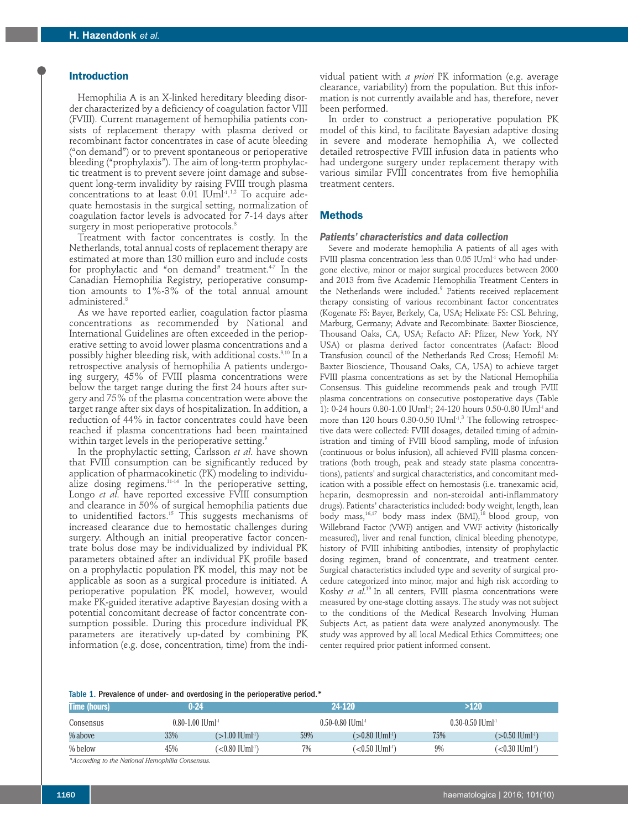## **Introduction**

Hemophilia A is an X-linked hereditary bleeding disorder characterized by a deficiency of coagulation factor VIII (FVIII). Current management of hemophilia patients consists of replacement therapy with plasma derived or recombinant factor concentrates in case of acute bleeding ("on demand") or to prevent spontaneous or perioperative bleeding ("prophylaxis"). The aim of long-term prophylactic treatment is to prevent severe joint damage and subsequent long-term invalidity by raising FVIII trough plasma concentrations to at least  $0.01$  IUml<sup>-1</sup>.<sup>1,2</sup> To acquire adequate hemostasis in the surgical setting, normalization of coagulation factor levels is advocated for 7-14 days after surgery in most perioperative protocols.<sup>3</sup>

Treatment with factor concentrates is costly. In the Netherlands, total annual costs of replacement therapy are estimated at more than 130 million euro and include costs for prophylactic and "on demand" treatment.<sup>4-7</sup> In the Canadian Hemophilia Registry, perioperative consumption amounts to 1%-3% of the total annual amount administered.<sup>8</sup>

As we have reported earlier, coagulation factor plasma concentrations as recommended by National and International Guidelines are often exceeded in the perioperative setting to avoid lower plasma concentrations and a possibly higher bleeding risk, with additional costs.<sup>9,10</sup> In a retrospective analysis of hemophilia A patients undergoing surgery, 45% of FVIII plasma concentrations were below the target range during the first 24 hours after surgery and 75% of the plasma concentration were above the target range after six days of hospitalization. In addition, a reduction of 44% in factor concentrates could have been reached if plasma concentrations had been maintained within target levels in the perioperative setting.<sup>9</sup>

In the prophylactic setting, Carlsson *et al*. have shown that FVIII consumption can be significantly reduced by application of pharmacokinetic (PK) modeling to individualize dosing regimens.11-14 In the perioperative setting, Longo *et al*. have reported excessive FVIII consumption and clearance in 50% of surgical hemophilia patients due to unidentified factors.<sup>15</sup> This suggests mechanisms of increased clearance due to hemostatic challenges during surgery. Although an initial preoperative factor concentrate bolus dose may be individualized by individual PK parameters obtained after an individual PK profile based on a prophylactic population PK model, this may not be applicable as soon as a surgical procedure is initiated. A perioperative population PK model, however, would make PK-guided iterative adaptive Bayesian dosing with a potential concomitant decrease of factor concentrate consumption possible. During this procedure individual PK parameters are iteratively up-dated by combining PK information (e.g. dose, concentration, time) from the indi-

vidual patient with *a priori* PK information (e.g. average clearance, variability) from the population. But this information is not currently available and has, therefore, never been performed.

In order to construct a perioperative population PK model of this kind, to facilitate Bayesian adaptive dosing in severe and moderate hemophilia A, we collected detailed retrospective FVIII infusion data in patients who had undergone surgery under replacement therapy with various similar FVIII concentrates from five hemophilia treatment centers.

# **Methods**

#### *Patients' characteristics and data collection*

Severe and moderate hemophilia A patients of all ages with FVIII plasma concentration less than 0.05 IUml<sup>-1</sup> who had undergone elective, minor or major surgical procedures between 2000 and 2013 from five Academic Hemophilia Treatment Centers in the Netherlands were included.<sup>9</sup> Patients received replacement therapy consisting of various recombinant factor concentrates (Kogenate FS: Bayer, Berkely, Ca, USA; Helixate FS: CSL Behring, Marburg, Germany; Advate and Recombinate: Baxter Bioscience, Thousand Oaks, CA, USA; Refacto AF: Pfizer, New York, NY USA) or plasma derived factor concentrates (Aafact: Blood Transfusion council of the Netherlands Red Cross; Hemofil M: Baxter Bioscience, Thousand Oaks, CA, USA) to achieve target FVIII plasma concentrations as set by the National Hemophilia Consensus. This guideline recommends peak and trough FVIII plasma concentrations on consecutive postoperative days (Table 1): 0-24 hours 0.80-1.00 IUml-1; 24-120 hours 0.50-0.80 IUml-1 and more than 120 hours 0.30-0.50 IUml<sup>-1.3</sup> The following retrospective data were collected: FVIII dosages, detailed timing of administration and timing of FVIII blood sampling, mode of infusion (continuous or bolus infusion), all achieved FVIII plasma concentrations (both trough, peak and steady state plasma concentrations), patients' and surgical characteristics, and concomitant medication with a possible effect on hemostasis (i.e. tranexamic acid, heparin, desmopressin and non-steroidal anti-inflammatory drugs). Patients' characteristics included: body weight, length, lean body mass,<sup>16,17</sup> body mass index (BMI),<sup>18</sup> blood group, von Willebrand Factor (VWF) antigen and VWF activity (historically measured), liver and renal function, clinical bleeding phenotype, history of FVIII inhibiting antibodies, intensity of prophylactic dosing regimen, brand of concentrate, and treatment center. Surgical characteristics included type and severity of surgical procedure categorized into minor, major and high risk according to Koshy *et al*. 19 In all centers, FVIII plasma concentrations were measured by one-stage clotting assays. The study was not subject to the conditions of the Medical Research Involving Human Subjects Act, as patient data were analyzed anonymously. The study was approved by all local Medical Ethics Committees; one center required prior patient informed consent.

### Table 1. Prevalence of under- and overdosing in the perioperative period.\*

| <b>Time (hours)</b> | $0 - 24$                         |                               |     | 24-120                              | >120                             |                                |  |
|---------------------|----------------------------------|-------------------------------|-----|-------------------------------------|----------------------------------|--------------------------------|--|
| Consensus           | $0.80 - 1.00$ IUml <sup>-1</sup> |                               |     | $0.50 - 0.80$ IUml <sup>-1</sup>    | $0.30 - 0.50$ IUml <sup>-1</sup> |                                |  |
| % above             | 33%                              | $>1.00$ IUml <sup>-1</sup> )  | 59% | $>0.80$ IUml <sup>-1</sup> )        | 75%                              | $>0.50$ IUml <sup>-1</sup> )   |  |
| % below             | 45%                              | $< 0.80$ IUml <sup>-1</sup> ) | 7%  | $\lesssim$ 0.50 IUml $^{\text{th}}$ | 9%                               | $\sim 0.30$ IUml <sup>-1</sup> |  |
|                     | .                                |                               |     |                                     |                                  |                                |  |

*\*According to the National Hemophilia Consensus.*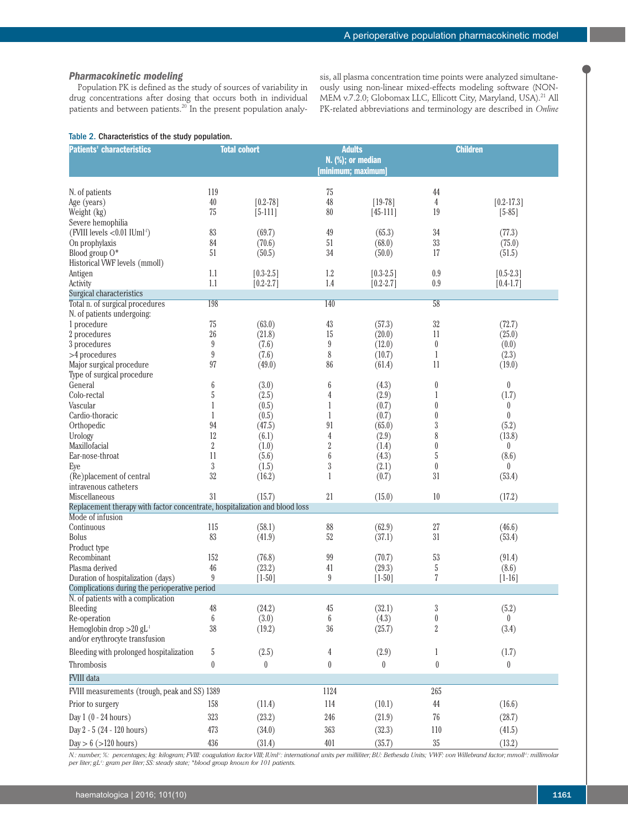## *Pharmacokinetic modeling*

Population PK is defined as the study of sources of variability in drug concentrations after dosing that occurs both in individual patients and between patients.<sup>20</sup> In the present population analy-

sis, all plasma concentration time points were analyzed simultaneously using non-linear mixed-effects modeling software (NON-MEM v.7.2.0; Globomax LLC, Ellicott City, Maryland, USA).<sup>21</sup> All PK-related abbreviations and terminology are described in *Online*

|  | Table 2. Characteristics of the study population. |  |  |  |
|--|---------------------------------------------------|--|--|--|
|--|---------------------------------------------------|--|--|--|

| <b>Patients' characteristics</b>                                            | <b>Total cohort</b>    |                 | <b>Adults</b><br>N. (%); or median |                 | <b>Children</b>                |                       |
|-----------------------------------------------------------------------------|------------------------|-----------------|------------------------------------|-----------------|--------------------------------|-----------------------|
|                                                                             |                        |                 | [minimum; maximum]                 |                 |                                |                       |
|                                                                             |                        |                 |                                    |                 |                                |                       |
| N. of patients                                                              | 119<br>$40\,$          | $[0.2 - 78]$    | 75<br>48                           | $[19-78]$       | 44<br>4                        | $[0.2 - 17.3]$        |
| Age (years)<br>Weight (kg)                                                  | 75                     | $[5-111]$       | 80                                 | $[45-111]$      | 19                             | $[5-85]$              |
| Severe hemophilia                                                           |                        |                 |                                    |                 |                                |                       |
| (FVIII levels <0.01 IUml <sup>-1</sup> )                                    | 83                     | (69.7)          | 49                                 | (65.3)          | 34                             | (77.3)                |
| On prophylaxis                                                              | 84                     | (70.6)          | 51                                 | (68.0)          | $33\,$                         | (75.0)                |
| Blood group O*                                                              | 51                     | (50.5)          | 34                                 | (50.0)          | 17                             | (51.5)                |
| Historical VWF levels (mmoll)                                               |                        |                 |                                    |                 |                                |                       |
| Antigen                                                                     | 1.1                    | $[0.3 - 2.5]$   | 1.2                                | $[0.3 - 2.5]$   | 0.9                            | $[0.5-2.3]$           |
| Activity                                                                    | 1.1                    | $[0.2 - 2.7]$   | 1.4                                | $[0.2 - 2.7]$   | 0.9                            | $[0.4 - 1.7]$         |
| Surgical characteristics<br>Total n. of surgical procedures                 | 198                    |                 | 140                                |                 | 58                             |                       |
| N. of patients undergoing:                                                  |                        |                 |                                    |                 |                                |                       |
| 1 procedure                                                                 | $75\,$                 | (63.0)          | 43                                 | (57.3)          | $32\,$                         | (72.7)                |
| 2 procedures                                                                | 26                     | (21.8)          | 15                                 | (20.0)          | 11                             | (25.0)                |
| 3 procedures                                                                | $\boldsymbol{9}$       | (7.6)           | $\boldsymbol{9}$                   | (12.0)          | $\bf{0}$                       | (0.0)                 |
| >4 procedures                                                               | $\boldsymbol{9}$       | (7.6)           | $\,8$                              | (10.7)          | $\mathbf{1}$                   | (2.3)                 |
| Major surgical procedure                                                    | 97                     | (49.0)          | 86                                 | (61.4)          | 11                             | (19.0)                |
| Type of surgical procedure                                                  |                        |                 |                                    |                 |                                |                       |
| General                                                                     | 6                      | (3.0)           | 6                                  | (4.3)           | $\boldsymbol{0}$               | $\theta$              |
| Colo-rectal                                                                 | 5                      | (2.5)           | 4                                  | (2.9)           | 1                              | (1.7)                 |
| Vascular                                                                    | 1                      | (0.5)           | 1                                  | (0.7)           | $\boldsymbol{0}$               | $\pmb{0}$             |
| Cardio-thoracic                                                             | 1<br>94                | (0.5)<br>(47.5) | 1<br>91                            | (0.7)<br>(65.0) | $\boldsymbol{0}$<br>$\sqrt{3}$ | $\mathbf{0}$<br>(5.2) |
| Orthopedic<br>Urology                                                       | 12                     | (6.1)           | $\overline{4}$                     | (2.9)           | 8                              | (13.8)                |
| Maxillofacial                                                               | $\,2$                  | (1.0)           | $\overline{2}$                     | (1.4)           | $\boldsymbol{0}$               | $\pmb{0}$             |
| Ear-nose-throat                                                             | 11                     | (5.6)           | $\boldsymbol{6}$                   | (4.3)           | $\sqrt{5}$                     | (8.6)                 |
| Eye                                                                         | $\sqrt{3}$             | (1.5)           | $\sqrt{3}$                         | (2.1)           | $\theta$                       | $\theta$              |
| (Re)placement of central                                                    | 32                     | (16.2)          | 1                                  | (0.7)           | 31                             | (53.4)                |
| intravenous catheters                                                       |                        |                 |                                    |                 |                                |                       |
| Miscellaneous                                                               | 31                     | (15.7)          | 21                                 | (15.0)          | 10                             | (17.2)                |
| Replacement therapy with factor concentrate, hospitalization and blood loss |                        |                 |                                    |                 |                                |                       |
| Mode of infusion<br>Continuous                                              | 115                    | (58.1)          | 88                                 | (62.9)          | 27                             | (46.6)                |
| <b>Bolus</b>                                                                | 83                     | (41.9)          | 52                                 | (37.1)          | 31                             | (53.4)                |
| Product type                                                                |                        |                 |                                    |                 |                                |                       |
| Recombinant                                                                 | 152                    | (76.8)          | 99                                 | (70.7)          | 53                             | (91.4)                |
| Plasma derived                                                              | 46                     | (23.2)          | 41                                 | (29.3)          | $\sqrt{5}$                     | (8.6)                 |
| Duration of hospitalization (days)                                          | 9                      | $[1 - 50]$      | 9                                  | $[1-50]$        | 7                              | $[1 - 16]$            |
| Complications during the perioperative period                               |                        |                 |                                    |                 |                                |                       |
| N. of patients with a complication                                          |                        |                 |                                    |                 |                                |                       |
| Bleeding                                                                    | 48                     | (24.2)          | 45                                 | (32.1)          | $\sqrt{3}$                     | (5.2)                 |
| Re-operation<br>Hemoglobin drop $>20$ gL <sup>1</sup>                       | $\boldsymbol{6}$<br>38 | (3.0)           | 6                                  | (4.3)           | $\bf{0}$                       | $\left( \right)$      |
| and/or erythrocyte transfusion                                              |                        | (19.2)          | 36                                 | (25.7)          | $\sqrt{2}$                     | (3.4)                 |
|                                                                             |                        |                 |                                    |                 |                                |                       |
| Bleeding with prolonged hospitalization                                     | 5                      | (2.5)           | 4                                  | (2.9)           | 1                              | (1.7)                 |
| Thrombosis                                                                  | 0                      | $\bf{0}$        | $\boldsymbol{0}$                   | $\theta$        | $\boldsymbol{0}$               | $\pmb{0}$             |
| <b>FVIII</b> data                                                           |                        |                 |                                    |                 |                                |                       |
| 1124<br>FVIII measurements (trough, peak and SS) 1389<br>265                |                        |                 |                                    |                 |                                |                       |
| Prior to surgery                                                            | 158                    | (11.4)          | 114                                | (10.1)          | 44                             | (16.6)                |
| Day $1(0 - 24 hours)$                                                       | $323\,$                | (23.2)          | 246                                | (21.9)          | 76                             | (28.7)                |
| Day 2 - 5 (24 - 120 hours)                                                  | 473                    | (34.0)          | 363                                | (32.3)          | $110$                          | (41.5)                |
| Day $> 6$ ( $> 120$ hours)                                                  | 436                    | (31.4)          | 401                                | (35.7)          | $35\,$                         | (13.2)                |

*N.: number; %: percentages; kg: kilogram; FVIII: coagulation factor VIII; IUml<sup>1</sup>: international units per milliliter; BU: Bethesda Units; VWF: von Willebrand factor; mmoll<sup>1</sup>: millimolar per liter; gL-1: gram per liter; SS: steady state; \*blood group known for 101 patients.*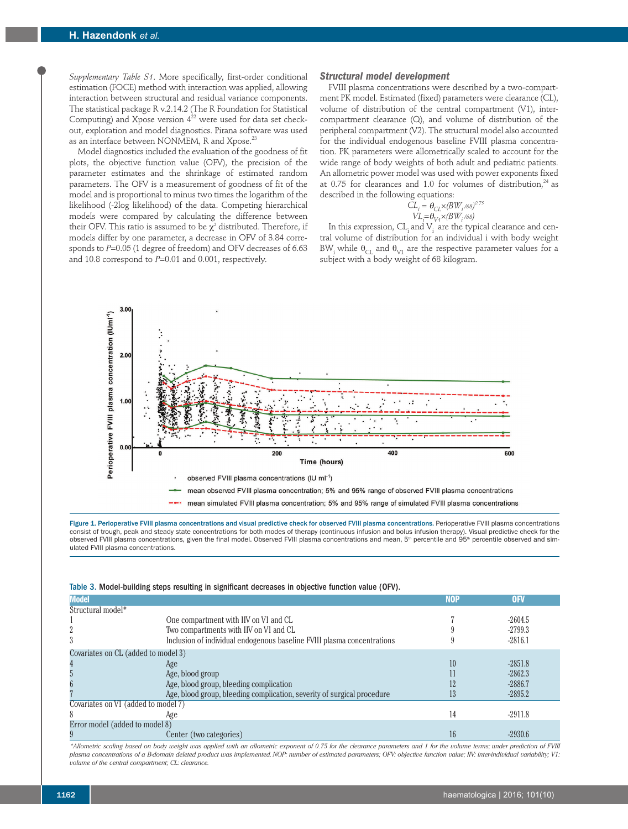*Supplementary Table S1*. More specifically, first-order conditional estimation (FOCE) method with interaction was applied, allowing interaction between structural and residual variance components. The statistical package R v.2.14.2 (The R Foundation for Statistical Computing) and Xpose version  $4^{22}$  were used for data set checkout, exploration and model diagnostics. Pirana software was used as an interface between NONMEM, R and Xpose.<sup>23</sup>

Model diagnostics included the evaluation of the goodness of fit plots, the objective function value (OFV), the precision of the parameter estimates and the shrinkage of estimated random parameters. The OFV is a measurement of goodness of fit of the model and is proportional to minus two times the logarithm of the likelihood (-2log likelihood) of the data. Competing hierarchical models were compared by calculating the difference between their OFV. This ratio is assumed to be  $\chi^2$  distributed. Therefore, if models differ by one parameter, a decrease in OFV of 3.84 corresponds to *P*=0.05 (1 degree of freedom) and OFV decreases of 6.63 and 10.8 correspond to *P*=0.01 and 0.001, respectively.

#### *Structural model development*

FVIII plasma concentrations were described by a two-compartment PK model. Estimated (fixed) parameters were clearance (CL), volume of distribution of the central compartment (V1), intercompartment clearance (Q), and volume of distribution of the peripheral compartment (V2). The structural model also accounted for the individual endogenous baseline FVIII plasma concentration. PK parameters were allometrically scaled to account for the wide range of body weights of both adult and pediatric patients. An allometric power model was used with power exponents fixed at 0.75 for clearances and 1.0 for volumes of distribution,  $24$  as described in the following equations:

$$
CL_i = \theta_{CL} \times (BW_i / 68)^{0.75}
$$
  

$$
VL_i = \theta_{V_i} \times (BW_i / 68)
$$

In this expression,  $CL_i$  and  $V_i$  are the typical clearance and central volume of distribution for an individual i with body weight BW<sub>i</sub> while  $\theta_{CL}$  and  $\theta_{V1}$  are the respective parameter values for a subject with a body weight of 68 kilogram.



Figure 1. Perioperative FVIII plasma concentrations and visual predictive check for observed FVIII plasma concentrations. Perioperative FVIII plasma concentrations consist of trough, peak and steady state concentrations for both modes of therapy (continuous infusion and bolus infusion therapy). Visual predictive check for the observed FVIII plasma concentrations, given the final model. Observed FVIII plasma concentrations and mean, 5<sup>th</sup> percentile and 95<sup>th</sup> percentile observed and simulated FVIII plasma concentrations.

| <b>Model</b>                        |                                                                         | <b>NOP</b> | 0 <sub>FV</sub> |  |
|-------------------------------------|-------------------------------------------------------------------------|------------|-----------------|--|
| Structural model*                   |                                                                         |            |                 |  |
|                                     | One compartment with IIV on V1 and CL                                   |            | $-2604.5$       |  |
|                                     | Two compartments with IIV on V1 and CL                                  |            | $-2799.3$       |  |
|                                     | Inclusion of individual endogenous baseline FVIII plasma concentrations |            | $-2816.1$       |  |
| Covariates on CL (added to model 3) |                                                                         |            |                 |  |
|                                     | Age                                                                     | 10         | $-2851.8$       |  |
|                                     | Age, blood group                                                        |            | $-2862.3$       |  |
|                                     | Age, blood group, bleeding complication                                 | 12         | $-2886.7$       |  |
|                                     | Age, blood group, bleeding complication, severity of surgical procedure | 13         | $-2895.2$       |  |
| Covariates on V1 (added to model 7) |                                                                         |            |                 |  |
| 8                                   | Age                                                                     | 14         | $-2911.8$       |  |
| Error model (added to model 8)      |                                                                         |            |                 |  |
|                                     | Center (two categories)                                                 | 16         | $-2930.6$       |  |

Table 3. Model-building steps resulting in significant decreases in objective function value (OFV).

*\*Allometric scaling based on body weight was applied with an allometric exponent of 0.75 for the clearance parameters and 1 for the volume terms; under prediction of FVIII plasma concentrations of a B-domain deleted product was implemented. NOP: number of estimated parameters; OFV: objective function value; IIV: inter-individual variability; V1: volume of the central compartment; CL: clearance.*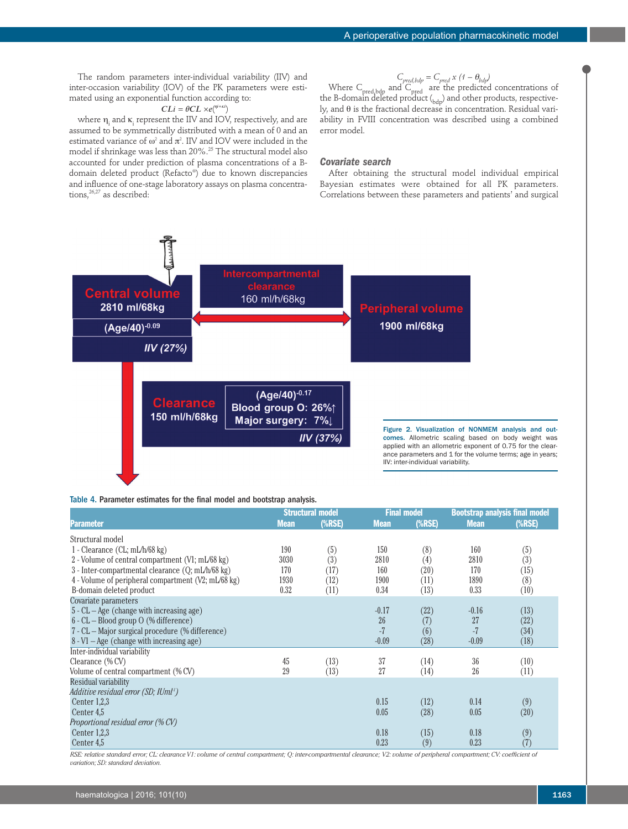The random parameters inter-individual variability (IIV) and inter-occasion variability (IOV) of the PK parameters were estimated using an exponential function according to:

## $CLi = \theta CL \times e(\eta^{n^{i+k}})$

where  $\eta_i$  and  $\kappa_i$  represent the IIV and IOV, respectively, and are assumed to be symmetrically distributed with a mean of 0 and an estimated variance of  $\omega^2$  and  $\pi^2$ . IIV and IOV were included in the model if shrinkage was less than 20%.25 The structural model also accounted for under prediction of plasma concentrations of a Bdomain deleted product (Refacto®) due to known discrepancies and influence of one-stage laboratory assays on plasma concentrations,<sup>26,27</sup> as described:

$$
C_{pred, bdp} = C_{pred} x (1 - \theta_{bdp})
$$

Where  $C_{\text{pred}, \text{bdp}}$  and  $C_{\text{pred}}$  are the predicted concentrations of the B-domain deleted product  $\binom{b}{bdp}$  and other products, respectively, and θ is the fractional decrease in concentration. Residual variability in FVIII concentration was described using a combined error model.

## *Covariate search*

After obtaining the structural model individual empirical Bayesian estimates were obtained for all PK parameters. Correlations between these parameters and patients' and surgical



## Table 4. Parameter estimates for the final model and bootstrap analysis.

|                                                     | <b>Structural model</b> |           | <b>Final model</b> |           | <b>Bootstrap analysis final model</b> |           |
|-----------------------------------------------------|-------------------------|-----------|--------------------|-----------|---------------------------------------|-----------|
| <b>Parameter</b>                                    | <b>Mean</b>             | $(\%RSE)$ | <b>Mean</b>        | $(\%RSE)$ | <b>Mean</b>                           | $(\%RSE)$ |
| Structural model                                    |                         |           |                    |           |                                       |           |
| 1 - Clearance (CL; $mL/h/68$ kg)                    | 190                     | (5)       | 150                | (8)       | 160                                   | (5)       |
| 2 - Volume of central compartment (V1; mL/68 kg)    | 3030                    | (3)       | 2810               | (4)       | 2810                                  | (3)       |
| 3 - Inter-compartmental clearance (Q; mL/h/68 kg)   | 170                     | (17)      | 160                | (20)      | 170                                   | (15)      |
| 4 - Volume of peripheral compartment (V2; mL/68 kg) | 1930                    | (12)      | 1900               | (11)      | 1890                                  | (8)       |
| B-domain deleted product                            | 0.32                    | (11)      | 0.34               | (13)      | 0.33                                  | (10)      |
| Covariate parameters                                |                         |           |                    |           |                                       |           |
| $5 - CL - Age$ (change with increasing age)         |                         |           | $-0.17$            | (22)      | $-0.16$                               | (13)      |
| 6 - CL - Blood group O (% difference)               |                         |           | 26                 | (7)       | 27                                    | (22)      |
| 7 - CL - Major surgical procedure (% difference)    |                         |           | -7                 | (6)       | $-7$                                  | (34)      |
| $8 - VI - Age$ (change with increasing age)         |                         |           | $-0.09$            | (28)      | $-0.09$                               | (18)      |
| Inter-individual variability                        |                         |           |                    |           |                                       |           |
| Clearance (% CV)                                    | 45                      | (13)      | 37                 | (14)      | 36                                    | (10)      |
| Volume of central compartment (% CV)                | 29                      | (13)      | 27                 | (14)      | 26                                    | (11)      |
| Residual variability                                |                         |           |                    |           |                                       |           |
| Additive residual error (SD; IUml <sup>1</sup> )    |                         |           |                    |           |                                       |           |
| Center $1,2,3$                                      |                         |           | 0.15               | (12)      | 0.14                                  | (9)       |
| Center 4,5                                          |                         |           | 0.05               | (28)      | 0.05                                  | (20)      |
| Proportional residual error (% CV)                  |                         |           |                    |           |                                       |           |
| Center $1,2,3$                                      |                         |           | 0.18               | (15)      | 0.18                                  | (9)       |
| Center 4,5                                          |                         |           | 0.23               | (9)       | 0.23                                  | (7)       |

*RSE: relative standard error; CL: clearance V1: volume of central compartment; Q: inter-compartmental clearance; V2: volume of peripheral compartment; CV: coefficient of variation; SD: standard deviation.*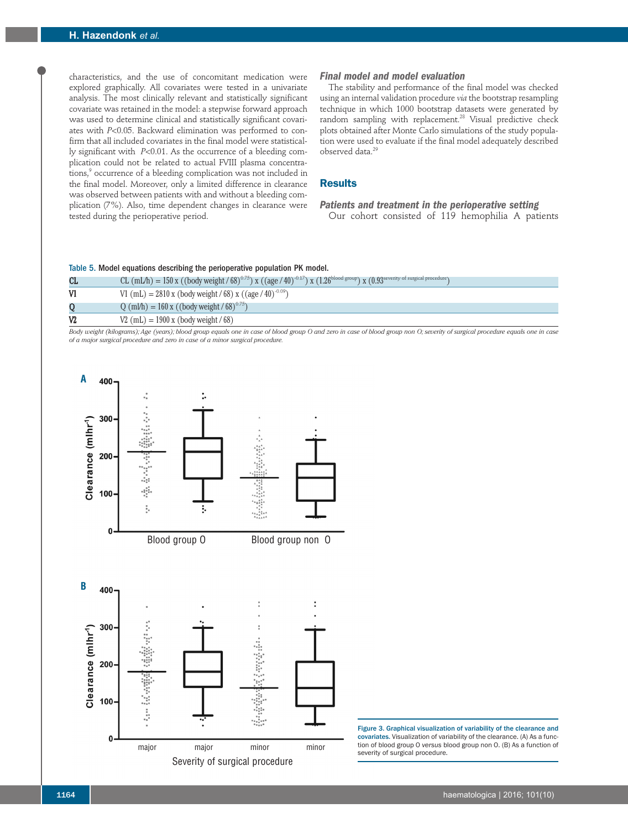characteristics, and the use of concomitant medication were explored graphically. All covariates were tested in a univariate analysis. The most clinically relevant and statistically significant covariate was retained in the model: a stepwise forward approach was used to determine clinical and statistically significant covariates with *P*<0.05. Backward elimination was performed to confirm that all included covariates in the final model were statistically significant with *P*<0.01. As the occurrence of a bleeding complication could not be related to actual FVIII plasma concentrations,<sup>9</sup> occurrence of a bleeding complication was not included in the final model. Moreover, only a limited difference in clearance was observed between patients with and without a bleeding complication (7%). Also, time dependent changes in clearance were tested during the perioperative period.

### *Final model and model evaluation*

The stability and performance of the final model was checked using an internal validation procedure *via* the bootstrap resampling technique in which 1000 bootstrap datasets were generated by random sampling with replacement.28 Visual predictive check plots obtained after Monte Carlo simulations of the study population were used to evaluate if the final model adequately described observed data.<sup>29</sup>

# **Results**

# *Patients and treatment in the perioperative setting*  Our cohort consisted of 119 hemophilia A patients

#### Table 5. Model equations describing the perioperative population PK model.

| CL             | CL (mL/h) = 150 x ((body weight / 68) <sup>0.75</sup> ) x ((age / 40) <sup>-0.17</sup> ) x (1.26 <sup>blood group</sup> ) x (0.93 <sup>severity of surgical procedure</sup> ) |
|----------------|-------------------------------------------------------------------------------------------------------------------------------------------------------------------------------|
| V1             | V1 (mL) = 2810 x (body weight / 68) x ((age / 40) <sup>-0.09</sup> )                                                                                                          |
| Q              | $Q \text{ (ml/h)} = 160 \text{ x } ((body \text{ weight} / 68)^{0.75})$                                                                                                       |
| V <sub>2</sub> | $V2 \text{ (mL)} = 1900 \text{ x} \text{ (body weight / 68)}$                                                                                                                 |

*Body weight (kilograms); Age (years); blood group equals one in case of blood group O and zero in case of blood group non O; severity of surgical procedure equals one in case of a major surgical procedure and zero in case of a minor surgical procedure.*



Figure 3. Graphical visualization of variability of the clearance and covariates. Visualization of variability of the clearance. (A) As a function of blood group O *versus* blood group non O. (B) As a function of severity of surgical procedure.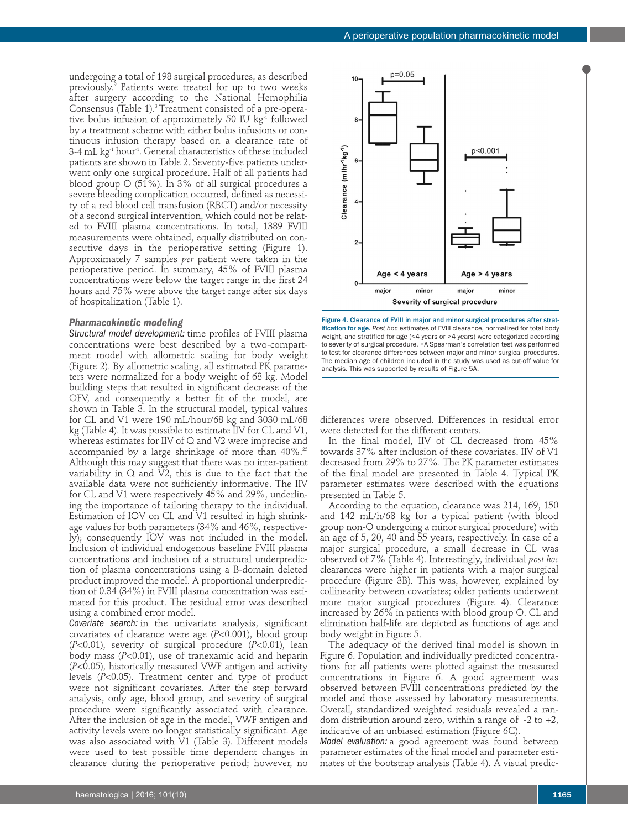undergoing a total of 198 surgical procedures, as described previously.<sup>9</sup> Patients were treated for up to two weeks after surgery according to the National Hemophilia Consensus (Table 1).3 Treatment consisted of a pre-operative bolus infusion of approximately 50 IU kg<sup>-1</sup> followed by a treatment scheme with either bolus infusions or continuous infusion therapy based on a clearance rate of 3-4 mL kg<sup>-1</sup> hour<sup>-1</sup>. General characteristics of these included patients are shown in Table 2. Seventy-five patients underwent only one surgical procedure. Half of all patients had blood group O (51%). In 3% of all surgical procedures a severe bleeding complication occurred, defined as necessity of a red blood cell transfusion (RBCT) and/or necessity of a second surgical intervention, which could not be related to FVIII plasma concentrations. In total, 1389 FVIII measurements were obtained, equally distributed on consecutive days in the perioperative setting (Figure 1). Approximately 7 samples *per* patient were taken in the perioperative period. In summary, 45% of FVIII plasma concentrations were below the target range in the first 24 hours and 75% were above the target range after six days of hospitalization (Table 1).

## *Pharmacokinetic modeling*

*Structural model development:* time profiles of FVIII plasma concentrations were best described by a two-compartment model with allometric scaling for body weight (Figure 2). By allometric scaling, all estimated PK parameters were normalized for a body weight of 68 kg. Model building steps that resulted in significant decrease of the OFV, and consequently a better fit of the model, are shown in Table 3. In the structural model, typical values for CL and V1 were 190 mL/hour/68 kg and 3030 mL/68 kg (Table 4). It was possible to estimate IIV for CL and V1, whereas estimates for IIV of Q and V2 were imprecise and accompanied by a large shrinkage of more than  $40\%$ .<sup>25</sup> Although this may suggest that there was no inter-patient variability in  $Q$  and  $\bar{V2}$ , this is due to the fact that the available data were not sufficiently informative. The IIV for CL and V1 were respectively 45% and 29%, underlining the importance of tailoring therapy to the individual. Estimation of IOV on CL and V1 resulted in high shrinkage values for both parameters (34% and 46%, respectively); consequently IOV was not included in the model. Inclusion of individual endogenous baseline FVIII plasma concentrations and inclusion of a structural underprediction of plasma concentrations using a B-domain deleted product improved the model. A proportional underprediction of 0.34 (34%) in FVIII plasma concentration was estimated for this product. The residual error was described using a combined error model.

*Covariate search:* in the univariate analysis, significant covariates of clearance were age (*P*<0.001), blood group (*P*<0.01), severity of surgical procedure (*P*<0.01), lean body mass (*P*<0.01), use of tranexamic acid and heparin (*P*<0.05), historically measured VWF antigen and activity levels (*P*<0.05). Treatment center and type of product were not significant covariates. After the step forward analysis, only age, blood group, and severity of surgical procedure were significantly associated with clearance. After the inclusion of age in the model, VWF antigen and activity levels were no longer statistically significant. Age was also associated with V1 (Table 3). Different models were used to test possible time dependent changes in clearance during the perioperative period; however, no



Figure 4. Clearance of FVIII in major and minor surgical procedures after stratification for age. *Post hoc* estimates of FVIII clearance, normalized for total body weight, and stratified for age (<4 years or >4 years) were categorized according to severity of surgical procedure. \*A Spearman's correlation test was performed to test for clearance differences between major and minor surgical procedures. The median age of children included in the study was used as cut-off value for analysis. This was supported by results of Figure 5A.

differences were observed. Differences in residual error were detected for the different centers.

In the final model, IIV of CL decreased from 45% towards 37% after inclusion of these covariates. IIV of V1 decreased from 29% to 27%. The PK parameter estimates of the final model are presented in Table 4. Typical PK parameter estimates were described with the equations presented in Table 5.

According to the equation, clearance was 214, 169, 150 and 142 mL/h/68 kg for a typical patient (with blood group non-O undergoing a minor surgical procedure) with an age of 5, 20, 40 and 55 years, respectively. In case of a major surgical procedure, a small decrease in CL was observed of 7% (Table 4). Interestingly, individual *post hoc* clearances were higher in patients with a major surgical procedure (Figure 3B). This was, however, explained by collinearity between covariates; older patients underwent more major surgical procedures (Figure 4). Clearance increased by 26% in patients with blood group O. CL and elimination half-life are depicted as functions of age and body weight in Figure 5.

The adequacy of the derived final model is shown in Figure 6. Population and individually predicted concentrations for all patients were plotted against the measured concentrations in Figure 6. A good agreement was observed between FVIII concentrations predicted by the model and those assessed by laboratory measurements. Overall, standardized weighted residuals revealed a random distribution around zero, within a range of  $-2$  to  $+2$ , indicative of an unbiased estimation (Figure 6C).

*Model evaluation:* a good agreement was found between parameter estimates of the final model and parameter estimates of the bootstrap analysis (Table 4). A visual predic-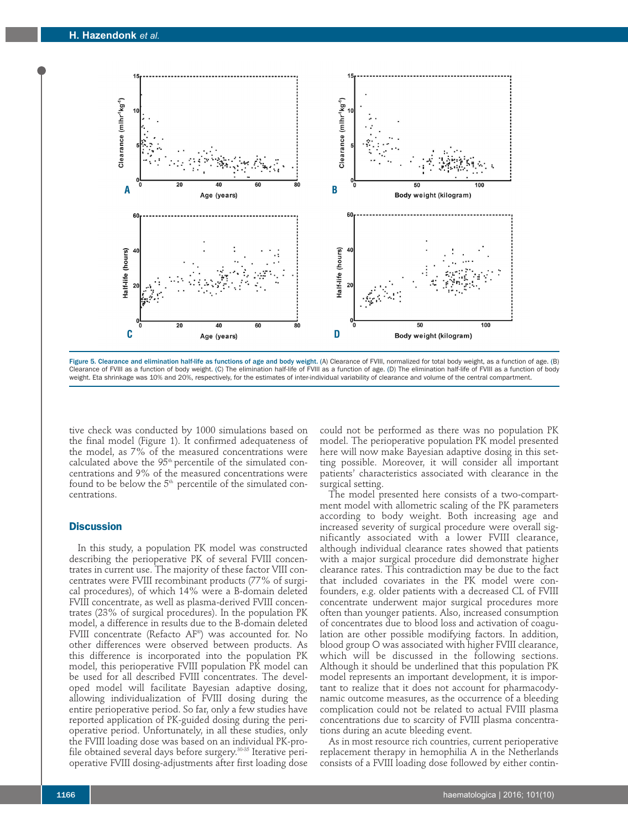

Figure 5. Clearance and elimination half-life as functions of age and body weight. (A) Clearance of FVIII, normalized for total body weight, as a function of age. (B) Clearance of FVIII as a function of body weight. (C) The elimination half-life of FVIII as a function of age. (D) The elimination half-life of FVIII as a function of body weight. Eta shrinkage was 10% and 20%, respectively, for the estimates of inter-individual variability of clearance and volume of the central compartment.

tive check was conducted by 1000 simulations based on the final model (Figure 1). It confirmed adequateness of the model, as 7% of the measured concentrations were calculated above the 95<sup>th</sup> percentile of the simulated concentrations and 9% of the measured concentrations were found to be below the  $5<sup>th</sup>$  percentile of the simulated concentrations.

## **Discussion**

In this study, a population PK model was constructed describing the perioperative PK of several FVIII concentrates in current use. The majority of these factor VIII concentrates were FVIII recombinant products (77% of surgical procedures), of which 14% were a B-domain deleted FVIII concentrate, as well as plasma-derived FVIII concentrates (23% of surgical procedures). In the population PK model, a difference in results due to the B-domain deleted FVIII concentrate (Refacto AF®) was accounted for. No other differences were observed between products. As this difference is incorporated into the population PK model, this perioperative FVIII population PK model can be used for all described FVIII concentrates. The developed model will facilitate Bayesian adaptive dosing, allowing individualization of FVIII dosing during the entire perioperative period. So far, only a few studies have reported application of PK-guided dosing during the perioperative period. Unfortunately, in all these studies, only the FVIII loading dose was based on an individual PK-profile obtained several days before surgery.<sup>30-35</sup> Iterative perioperative FVIII dosing-adjustments after first loading dose

could not be performed as there was no population PK model. The perioperative population PK model presented here will now make Bayesian adaptive dosing in this setting possible. Moreover, it will consider all important patients' characteristics associated with clearance in the surgical setting.

The model presented here consists of a two-compartment model with allometric scaling of the PK parameters according to body weight. Both increasing age and increased severity of surgical procedure were overall significantly associated with a lower FVIII clearance, although individual clearance rates showed that patients with a major surgical procedure did demonstrate higher clearance rates. This contradiction may be due to the fact that included covariates in the PK model were confounders, e.g. older patients with a decreased CL of FVIII concentrate underwent major surgical procedures more often than younger patients. Also, increased consumption of concentrates due to blood loss and activation of coagulation are other possible modifying factors. In addition, blood group O was associated with higher FVIII clearance, which will be discussed in the following sections. Although it should be underlined that this population PK model represents an important development, it is important to realize that it does not account for pharmacodynamic outcome measures, as the occurrence of a bleeding complication could not be related to actual FVIII plasma concentrations due to scarcity of FVIII plasma concentrations during an acute bleeding event.

As in most resource rich countries, current perioperative replacement therapy in hemophilia A in the Netherlands consists of a FVIII loading dose followed by either contin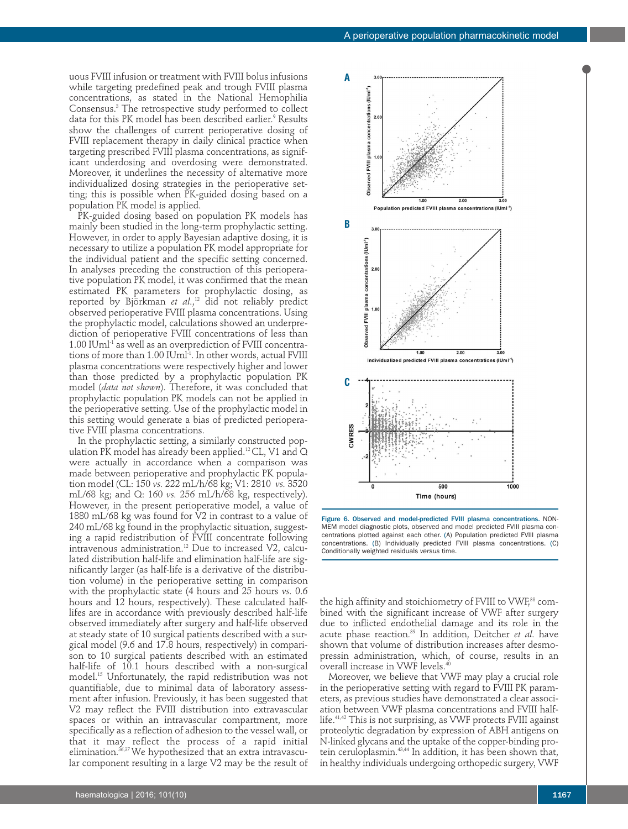uous FVIII infusion or treatment with FVIII bolus infusions while targeting predefined peak and trough FVIII plasma concentrations, as stated in the National Hemophilia Consensus.3 The retrospective study performed to collect data for this PK model has been described earlier.<sup>9</sup> Results show the challenges of current perioperative dosing of FVIII replacement therapy in daily clinical practice when targeting prescribed FVIII plasma concentrations, as significant underdosing and overdosing were demonstrated. Moreover, it underlines the necessity of alternative more individualized dosing strategies in the perioperative setting; this is possible when PK-guided dosing based on a population PK model is applied.

PK-guided dosing based on population PK models has mainly been studied in the long-term prophylactic setting. However, in order to apply Bayesian adaptive dosing, it is necessary to utilize a population PK model appropriate for the individual patient and the specific setting concerned. In analyses preceding the construction of this perioperative population PK model, it was confirmed that the mean estimated PK parameters for prophylactic dosing, as reported by Björkman et al.,<sup>12</sup> did not reliably predict observed perioperative FVIII plasma concentrations. Using the prophylactic model, calculations showed an underprediction of perioperative FVIII concentrations of less than  $1.00$  IUm $l<sup>-1</sup>$  as well as an overprediction of FVIII concentrations of more than 1.00 IUml<sup>1</sup>. In other words, actual FVIII plasma concentrations were respectively higher and lower than those predicted by a prophylactic population PK model (*data not shown*). Therefore, it was concluded that prophylactic population PK models can not be applied in the perioperative setting. Use of the prophylactic model in this setting would generate a bias of predicted perioperative FVIII plasma concentrations.

In the prophylactic setting, a similarly constructed population PK model has already been applied.<sup>12</sup> CL, V1 and Q were actually in accordance when a comparison was made between perioperative and prophylactic PK population model (CL: 150 *vs.* 222 mL/h/68 kg; V1: 2810 *vs.* 3520 mL/68 kg; and Q: 160 *vs.* 256 mL/h/68 kg, respectively). However, in the present perioperative model, a value of 1880 mL/68 kg was found for V2 in contrast to a value of 240 mL/68 kg found in the prophylactic situation, suggesting a rapid redistribution of FVIII concentrate following intravenous administration.12 Due to increased V2, calculated distribution half-life and elimination half-life are significantly larger (as half-life is a derivative of the distribution volume) in the perioperative setting in comparison with the prophylactic state (4 hours and 25 hours *vs.* 0.6 hours and 12 hours, respectively). These calculated halflifes are in accordance with previously described half-life observed immediately after surgery and half-life observed at steady state of 10 surgical patients described with a surgical model (9.6 and 17.8 hours, respectively) in comparison to 10 surgical patients described with an estimated half-life of 10.1 hours described with a non-surgical model.15 Unfortunately, the rapid redistribution was not quantifiable, due to minimal data of laboratory assessment after infusion. Previously, it has been suggested that V2 may reflect the FVIII distribution into extravascular spaces or within an intravascular compartment, more specifically as a reflection of adhesion to the vessel wall, or that it may reflect the process of a rapid initial elimination.<sup>36,37</sup> We hypothesized that an extra intravascular component resulting in a large V2 may be the result of





the high affinity and stoichiometry of FVIII to VWF,<sup>38</sup> combined with the significant increase of VWF after surgery due to inflicted endothelial damage and its role in the acute phase reaction.39 In addition, Deitcher *et al*. have shown that volume of distribution increases after desmopressin administration, which, of course, results in an overall increase in VWF levels.<sup>41</sup>

Moreover, we believe that VWF may play a crucial role in the perioperative setting with regard to FVIII PK parameters, as previous studies have demonstrated a clear association between VWF plasma concentrations and FVIII halflife.41,42 This is not surprising, as VWF protects FVIII against proteolytic degradation by expression of ABH antigens on N-linked glycans and the uptake of the copper-binding protein ceruloplasmin.<sup>43,44</sup> In addition, it has been shown that, in healthy individuals undergoing orthopedic surgery, VWF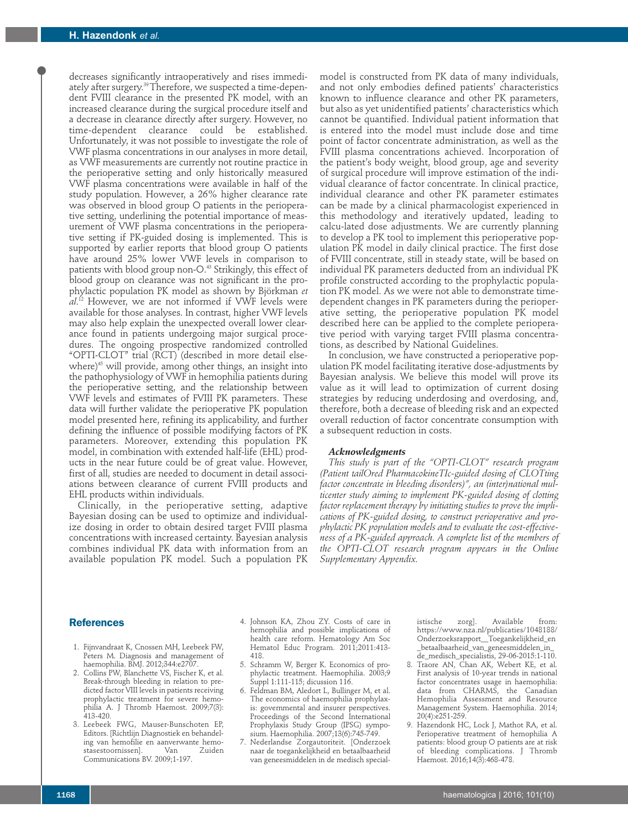decreases significantly intraoperatively and rises immediately after surgery.<sup>39</sup> Therefore, we suspected a time-dependent FVIII clearance in the presented PK model, with an increased clearance during the surgical procedure itself and a decrease in clearance directly after surgery. However, no time-dependent clearance could be established. Unfortunately, it was not possible to investigate the role of VWF plasma concentrations in our analyses in more detail, as VWF measurements are currently not routine practice in the perioperative setting and only historically measured VWF plasma concentrations were available in half of the study population. However, a 26% higher clearance rate was observed in blood group O patients in the perioperative setting, underlining the potential importance of measurement of VWF plasma concentrations in the perioperative setting if PK-guided dosing is implemented. This is supported by earlier reports that blood group O patients have around 25% lower VWF levels in comparison to patients with blood group non-O.<sup>43</sup> Strikingly, this effect of blood group on clearance was not significant in the prophylactic population PK model as shown by Björkman *et al*. <sup>12</sup> However, we are not informed if VWF levels were available for those analyses. In contrast, higher VWF levels may also help explain the unexpected overall lower clearance found in patients undergoing major surgical procedures. The ongoing prospective randomized controlled "OPTI-CLOT" trial (RCT) (described in more detail elsewhere)<sup>45</sup> will provide, among other things, an insight into the pathophysiology of VWF in hemophilia patients during the perioperative setting, and the relationship between VWF levels and estimates of FVIII PK parameters. These data will further validate the perioperative PK population model presented here, refining its applicability, and further defining the influence of possible modifying factors of PK parameters. Moreover, extending this population PK model, in combination with extended half-life (EHL) products in the near future could be of great value. However, first of all, studies are needed to document in detail associations between clearance of current FVIII products and EHL products within individuals.

Clinically, in the perioperative setting, adaptive Bayesian dosing can be used to optimize and individualize dosing in order to obtain desired target FVIII plasma concentrations with increased certainty. Bayesian analysis combines individual PK data with information from an available population PK model. Such a population PK model is constructed from PK data of many individuals, and not only embodies defined patients' characteristics known to influence clearance and other PK parameters, but also as yet unidentified patients' characteristics which cannot be quantified. Individual patient information that is entered into the model must include dose and time point of factor concentrate administration, as well as the FVIII plasma concentrations achieved. Incorporation of the patient's body weight, blood group, age and severity of surgical procedure will improve estimation of the individual clearance of factor concentrate. In clinical practice, individual clearance and other PK parameter estimates can be made by a clinical pharmacologist experienced in this methodology and iteratively updated, leading to calcu-lated dose adjustments. We are currently planning to develop a PK tool to implement this perioperative population PK model in daily clinical practice. The first dose of FVIII concentrate, still in steady state, will be based on individual PK parameters deducted from an individual PK profile constructed according to the prophylactic population PK model. As we were not able to demonstrate timedependent changes in PK parameters during the perioperative setting, the perioperative population PK model described here can be applied to the complete perioperative period with varying target FVIII plasma concentrations, as described by National Guidelines.

In conclusion, we have constructed a perioperative population PK model facilitating iterative dose-adjustments by Bayesian analysis. We believe this model will prove its value as it will lead to optimization of current dosing strategies by reducing underdosing and overdosing, and, therefore, both a decrease of bleeding risk and an expected overall reduction of factor concentrate consumption with a subsequent reduction in costs.

#### *Acknowledgments*

*This study is part of the "OPTI-CLOT" research program (Patient tailOred PharmacokineTIc-guided dosing of CLOTting factor concentrate in bleeding disorders)", an (inter)national multicenter study aiming to implement PK-guided dosing of clotting factor replacement therapy by initiating studies to prove the implications of PK-guided dosing, to construct perioperative and prophylactic PK population models and to evaluate the cost-effectiveness of a PK-guided approach. A complete list of the members of the OPTI-CLOT research program appears in the Online Supplementary Appendix.*

### **References**

- 1. Fijnvandraat K, Cnossen MH, Leebeek FW, Peters M. Diagnosis and management of haemophilia. BMJ. 2012;344:e2707.
- 2. Collins PW, Blanchette VS, Fischer K, et al. Break-through bleeding in relation to predicted factor VIII levels in patients receiving prophylactic treatment for severe hemophilia A. J Thromb Haemost. 2009;7(3): *4*13-420.
- 3. Leebeek FWG, Mauser-Bunschoten EP, Editors. [Richtlijn Diagnostiek en behandeling van hemofilie en aanverwante hemostasestoornissen]. Communications BV. 2009;1-197.
- 4. Johnson KA, Zhou ZY. Costs of care in hemophilia and possible implications of health care reform. Hematology Am Soc Hematol Educ Program. 2011;2011:413- 418.
- 5. Schramm W, Berger K. Economics of prophylactic treatment. Haemophilia. 2003;9 Suppl 1:111-115; dicussion 116.
- 6. Feldman BM, Aledort L, Bullinger M, et al. The economics of haemophilia prophylaxis: governmental and insurer perspectives. Proceedings of the Second International Prophylaxis Study Group (IPSG) symposium. Haemophilia. 2007;13(6):745-749.
- 7. Nederlandse Zorgautoriteit. [Onderzoek naar de toegankelijkheid en betaalbaarheid van geneesmiddelen in de medisch special-

istische zorg]. Available from: https://www.nza.nl/publicaties/1048188/ Onderzoeksrapport\_\_Toegankelijkheid\_en \_betaalbaarheid\_van\_geneesmiddelen\_in\_ de\_medisch\_specialistis, 29-06-2015:1-110.

- 8. Traore AN, Chan AK, Webert KE, et al. First analysis of 10-year trends in national factor concentrates usage in haemophilia: data from CHARMS, the Canadian Hemophilia Assessment and Resource Management System. Haemophilia. 2014; 20(4):e251-259.
- 9. Hazendonk HC, Lock J, Mathot RA, et al. Perioperative treatment of hemophilia A patients: blood group O patients are at risk of bleeding complications. J Thromb Haemost. 2016;14(3):468-478.